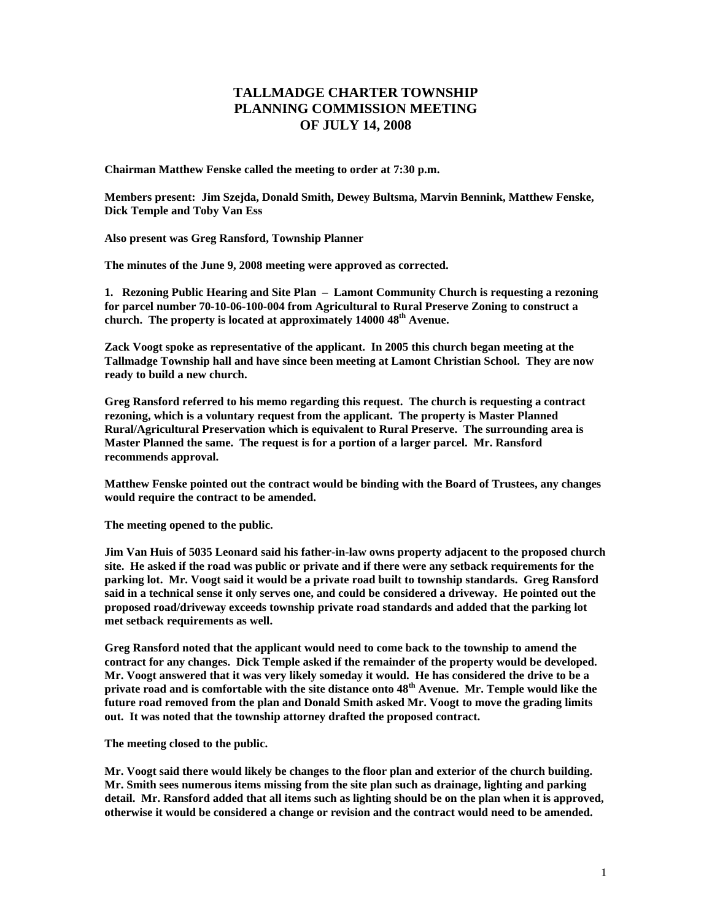## **TALLMADGE CHARTER TOWNSHIP PLANNING COMMISSION MEETING OF JULY 14, 2008**

**Chairman Matthew Fenske called the meeting to order at 7:30 p.m.** 

**Members present: Jim Szejda, Donald Smith, Dewey Bultsma, Marvin Bennink, Matthew Fenske, Dick Temple and Toby Van Ess** 

**Also present was Greg Ransford, Township Planner** 

**The minutes of the June 9, 2008 meeting were approved as corrected.** 

**1. Rezoning Public Hearing and Site Plan – Lamont Community Church is requesting a rezoning for parcel number 70-10-06-100-004 from Agricultural to Rural Preserve Zoning to construct a**  church. The property is located at approximately 14000 48<sup>th</sup> Avenue.

**Zack Voogt spoke as representative of the applicant. In 2005 this church began meeting at the Tallmadge Township hall and have since been meeting at Lamont Christian School. They are now ready to build a new church.** 

**Greg Ransford referred to his memo regarding this request. The church is requesting a contract rezoning, which is a voluntary request from the applicant. The property is Master Planned Rural/Agricultural Preservation which is equivalent to Rural Preserve. The surrounding area is Master Planned the same. The request is for a portion of a larger parcel. Mr. Ransford recommends approval.** 

**Matthew Fenske pointed out the contract would be binding with the Board of Trustees, any changes would require the contract to be amended.** 

**The meeting opened to the public.** 

**Jim Van Huis of 5035 Leonard said his father-in-law owns property adjacent to the proposed church site. He asked if the road was public or private and if there were any setback requirements for the parking lot. Mr. Voogt said it would be a private road built to township standards. Greg Ransford said in a technical sense it only serves one, and could be considered a driveway. He pointed out the proposed road/driveway exceeds township private road standards and added that the parking lot met setback requirements as well.** 

**Greg Ransford noted that the applicant would need to come back to the township to amend the contract for any changes. Dick Temple asked if the remainder of the property would be developed. Mr. Voogt answered that it was very likely someday it would. He has considered the drive to be a private road and is comfortable with the site distance onto 48th Avenue. Mr. Temple would like the future road removed from the plan and Donald Smith asked Mr. Voogt to move the grading limits out. It was noted that the township attorney drafted the proposed contract.** 

**The meeting closed to the public.** 

**Mr. Voogt said there would likely be changes to the floor plan and exterior of the church building. Mr. Smith sees numerous items missing from the site plan such as drainage, lighting and parking detail. Mr. Ransford added that all items such as lighting should be on the plan when it is approved, otherwise it would be considered a change or revision and the contract would need to be amended.**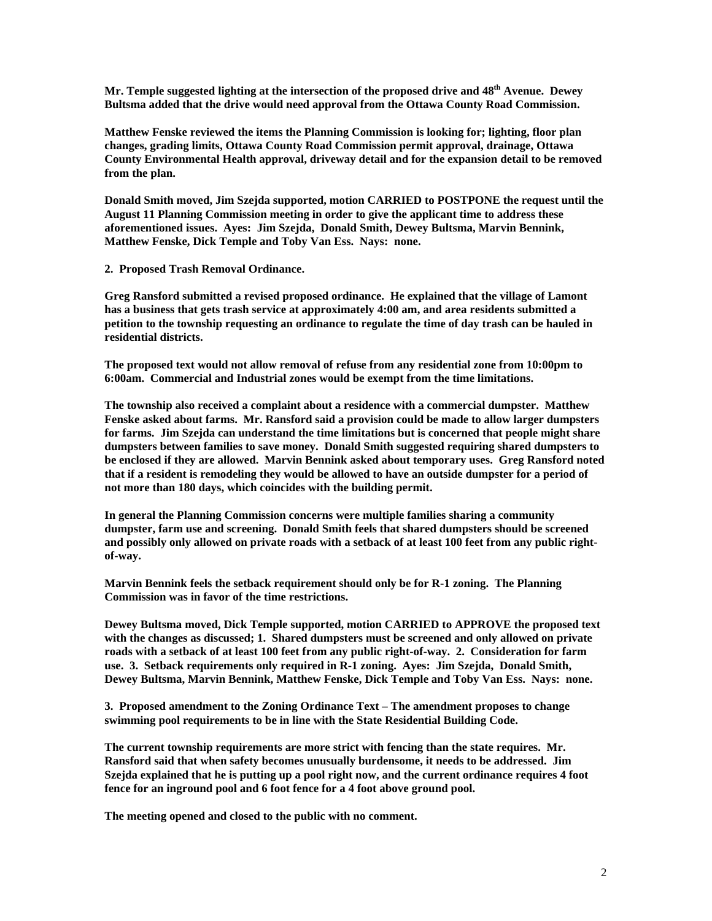**Mr. Temple suggested lighting at the intersection of the proposed drive and 48th Avenue. Dewey Bultsma added that the drive would need approval from the Ottawa County Road Commission.** 

**Matthew Fenske reviewed the items the Planning Commission is looking for; lighting, floor plan changes, grading limits, Ottawa County Road Commission permit approval, drainage, Ottawa County Environmental Health approval, driveway detail and for the expansion detail to be removed from the plan.** 

**Donald Smith moved, Jim Szejda supported, motion CARRIED to POSTPONE the request until the August 11 Planning Commission meeting in order to give the applicant time to address these aforementioned issues. Ayes: Jim Szejda, Donald Smith, Dewey Bultsma, Marvin Bennink, Matthew Fenske, Dick Temple and Toby Van Ess. Nays: none.** 

**2. Proposed Trash Removal Ordinance.** 

**Greg Ransford submitted a revised proposed ordinance. He explained that the village of Lamont has a business that gets trash service at approximately 4:00 am, and area residents submitted a petition to the township requesting an ordinance to regulate the time of day trash can be hauled in residential districts.** 

**The proposed text would not allow removal of refuse from any residential zone from 10:00pm to 6:00am. Commercial and Industrial zones would be exempt from the time limitations.** 

**The township also received a complaint about a residence with a commercial dumpster. Matthew Fenske asked about farms. Mr. Ransford said a provision could be made to allow larger dumpsters for farms. Jim Szejda can understand the time limitations but is concerned that people might share dumpsters between families to save money. Donald Smith suggested requiring shared dumpsters to be enclosed if they are allowed. Marvin Bennink asked about temporary uses. Greg Ransford noted that if a resident is remodeling they would be allowed to have an outside dumpster for a period of not more than 180 days, which coincides with the building permit.** 

**In general the Planning Commission concerns were multiple families sharing a community dumpster, farm use and screening. Donald Smith feels that shared dumpsters should be screened and possibly only allowed on private roads with a setback of at least 100 feet from any public rightof-way.** 

**Marvin Bennink feels the setback requirement should only be for R-1 zoning. The Planning Commission was in favor of the time restrictions.** 

**Dewey Bultsma moved, Dick Temple supported, motion CARRIED to APPROVE the proposed text with the changes as discussed; 1. Shared dumpsters must be screened and only allowed on private roads with a setback of at least 100 feet from any public right-of-way. 2. Consideration for farm use. 3. Setback requirements only required in R-1 zoning. Ayes: Jim Szejda, Donald Smith, Dewey Bultsma, Marvin Bennink, Matthew Fenske, Dick Temple and Toby Van Ess. Nays: none.** 

**3. Proposed amendment to the Zoning Ordinance Text – The amendment proposes to change swimming pool requirements to be in line with the State Residential Building Code.** 

**The current township requirements are more strict with fencing than the state requires. Mr. Ransford said that when safety becomes unusually burdensome, it needs to be addressed. Jim Szejda explained that he is putting up a pool right now, and the current ordinance requires 4 foot fence for an inground pool and 6 foot fence for a 4 foot above ground pool.** 

**The meeting opened and closed to the public with no comment.**